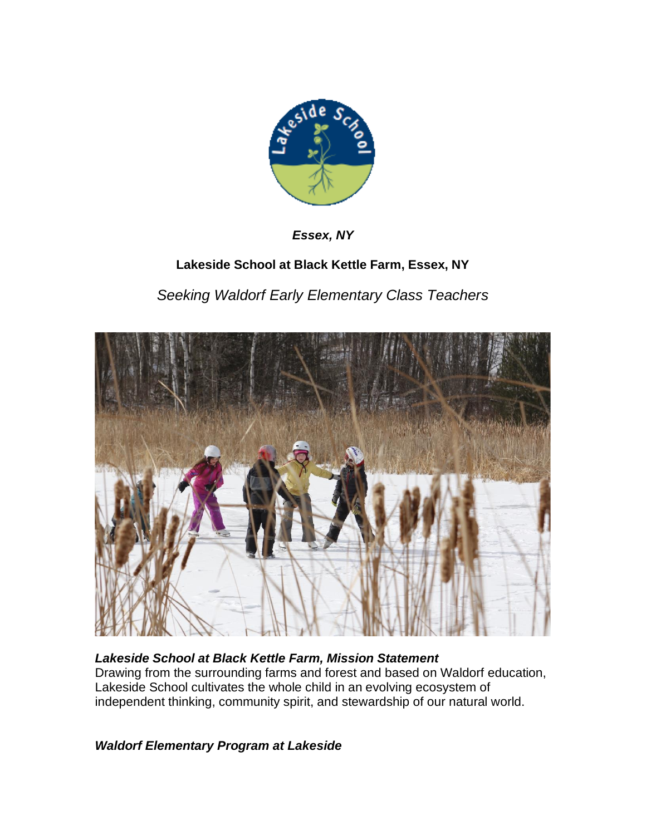

*Essex, NY*

# **Lakeside School at Black Kettle Farm, Essex, NY**

*Seeking Waldorf Early Elementary Class Teachers*



# *Lakeside School at Black Kettle Farm, Mission Statement*

Drawing from the surrounding farms and forest and based on Waldorf education, Lakeside School cultivates the whole child in an evolving ecosystem of independent thinking, community spirit, and stewardship of our natural world.

*Waldorf Elementary Program at Lakeside*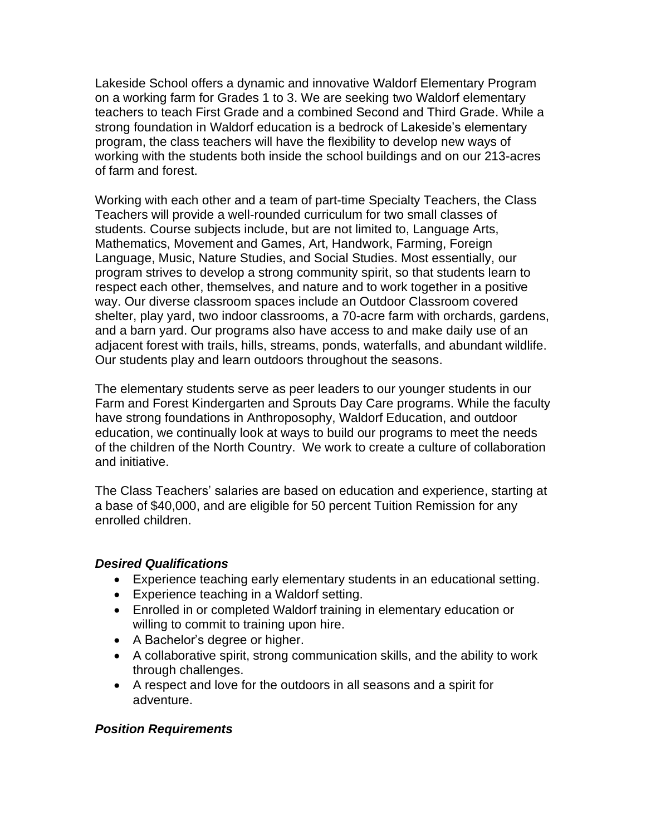Lakeside School offers a dynamic and innovative Waldorf Elementary Program on a working farm for Grades 1 to 3. We are seeking two Waldorf elementary teachers to teach First Grade and a combined Second and Third Grade. While a strong foundation in Waldorf education is a bedrock of Lakeside's elementary program, the class teachers will have the flexibility to develop new ways of working with the students both inside the school buildings and on our 213-acres of farm and forest.

Working with each other and a team of part-time Specialty Teachers, the Class Teachers will provide a well-rounded curriculum for two small classes of students. Course subjects include, but are not limited to, Language Arts, Mathematics, Movement and Games, Art, Handwork, Farming, Foreign Language, Music, Nature Studies, and Social Studies. Most essentially, our program strives to develop a strong community spirit, so that students learn to respect each other, themselves, and nature and to work together in a positive way. Our diverse classroom spaces include an Outdoor Classroom covered shelter, play yard, two indoor classrooms, a 70-acre farm with orchards, gardens, and a barn yard. Our programs also have access to and make daily use of an adjacent forest with trails, hills, streams, ponds, waterfalls, and abundant wildlife. Our students play and learn outdoors throughout the seasons.

The elementary students serve as peer leaders to our younger students in our Farm and Forest Kindergarten and Sprouts Day Care programs. While the faculty have strong foundations in Anthroposophy, Waldorf Education, and outdoor education, we continually look at ways to build our programs to meet the needs of the children of the North Country. We work to create a culture of collaboration and initiative.

The Class Teachers' salaries are based on education and experience, starting at a base of \$40,000, and are eligible for 50 percent Tuition Remission for any enrolled children.

### *Desired Qualifications*

- Experience teaching early elementary students in an educational setting.
- Experience teaching in a Waldorf setting.
- Enrolled in or completed Waldorf training in elementary education or willing to commit to training upon hire.
- A Bachelor's degree or higher.
- A collaborative spirit, strong communication skills, and the ability to work through challenges.
- A respect and love for the outdoors in all seasons and a spirit for adventure.

### *Position Requirements*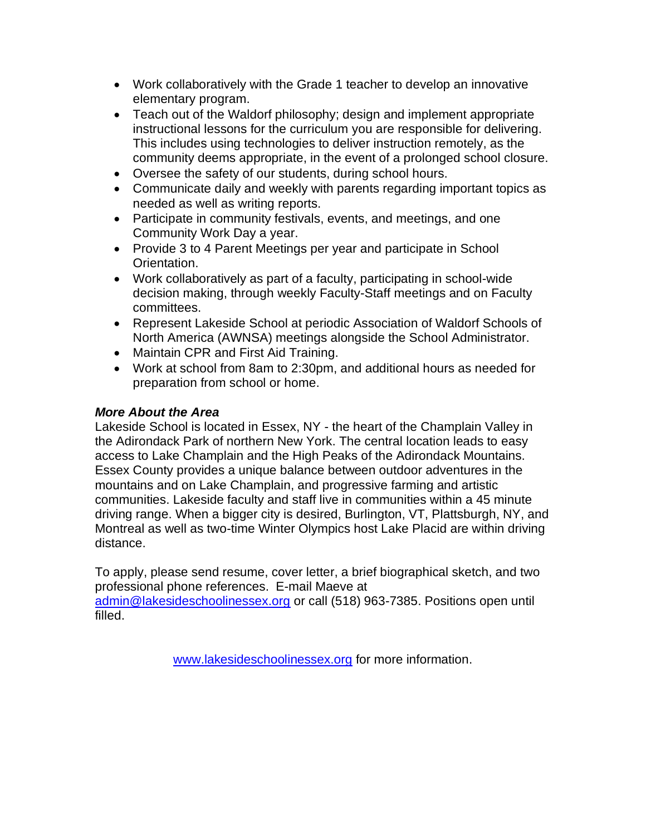- Work collaboratively with the Grade 1 teacher to develop an innovative elementary program.
- Teach out of the Waldorf philosophy; design and implement appropriate instructional lessons for the curriculum you are responsible for delivering. This includes using technologies to deliver instruction remotely, as the community deems appropriate, in the event of a prolonged school closure.
- Oversee the safety of our students, during school hours.
- Communicate daily and weekly with parents regarding important topics as needed as well as writing reports.
- Participate in community festivals, events, and meetings, and one Community Work Day a year.
- Provide 3 to 4 Parent Meetings per year and participate in School Orientation.
- Work collaboratively as part of a faculty, participating in school-wide decision making, through weekly Faculty-Staff meetings and on Faculty committees.
- Represent Lakeside School at periodic Association of Waldorf Schools of North America (AWNSA) meetings alongside the School Administrator.
- Maintain CPR and First Aid Training.
- Work at school from 8am to 2:30pm, and additional hours as needed for preparation from school or home.

# *More About the Area*

Lakeside School is located in Essex, NY - the heart of the Champlain Valley in the Adirondack Park of northern New York. The central location leads to easy access to Lake Champlain and the High Peaks of the Adirondack Mountains. Essex County provides a unique balance between outdoor adventures in the mountains and on Lake Champlain, and progressive farming and artistic communities. Lakeside faculty and staff live in communities within a 45 minute driving range. When a bigger city is desired, Burlington, VT, Plattsburgh, NY, and Montreal as well as two-time Winter Olympics host Lake Placid are within driving distance.

To apply, please send resume, cover letter, a brief biographical sketch, and two professional phone references. E-mail Maeve at [admin@lakesideschoolinessex.org](about:blank) or call (518) 963-7385. Positions open until filled.

[www.lakesideschoolinessex.org](about:blank) for more information.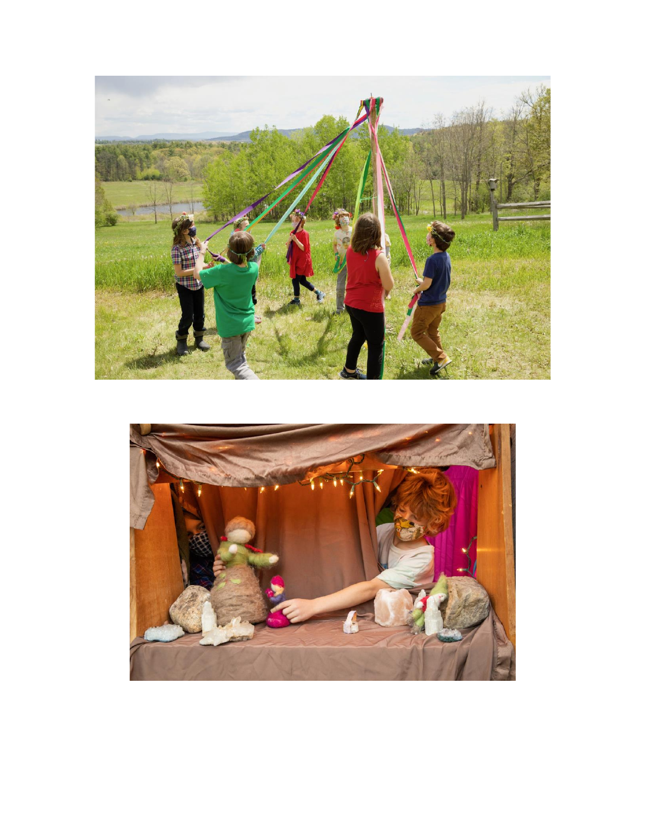